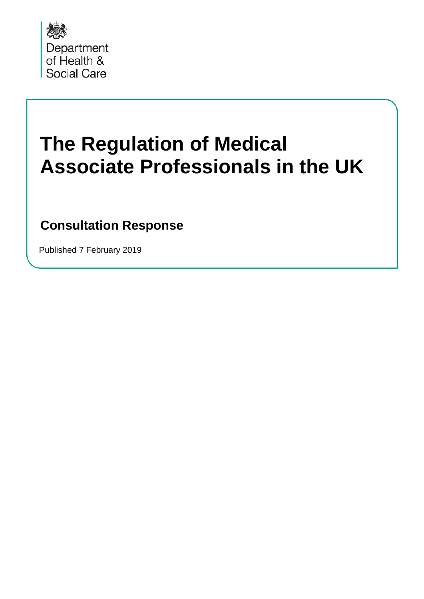

# **The Regulation of Medical Associate Professionals in the UK**

### **Consultation Response**

Published 7 February 2019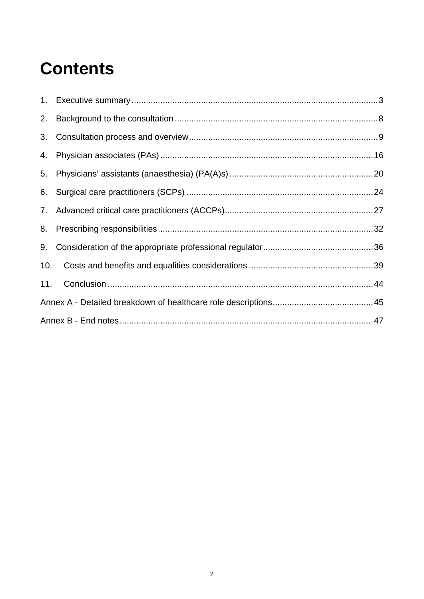### **Contents**

| 10. |  |
|-----|--|
|     |  |
|     |  |
|     |  |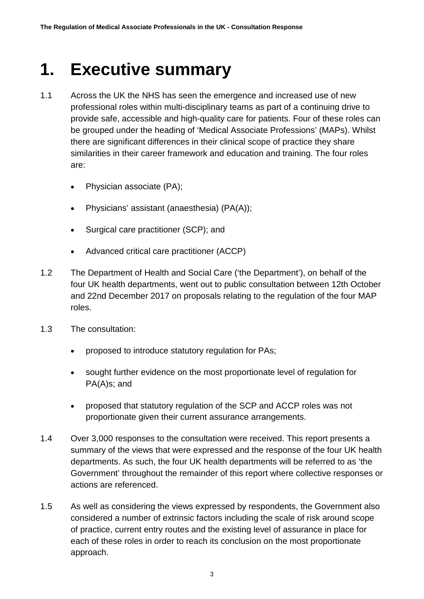### <span id="page-2-0"></span>**1. Executive summary**

- 1.1 Across the UK the NHS has seen the emergence and increased use of new professional roles within multi-disciplinary teams as part of a continuing drive to provide safe, accessible and high-quality care for patients. Four of these roles can be grouped under the heading of 'Medical Associate Professions' (MAPs). Whilst there are significant differences in their clinical scope of practice they share similarities in their career framework and education and training. The four roles are:
	- Physician associate (PA);
	- Physicians' assistant (anaesthesia) (PA(A));
	- Surgical care practitioner (SCP); and
	- Advanced critical care practitioner (ACCP)
- 1.2 The Department of Health and Social Care ('the Department'), on behalf of the four UK health departments, went out to public consultation between 12th October and 22nd December 2017 on proposals relating to the regulation of the four MAP roles.
- 1.3 The consultation:
	- proposed to introduce statutory regulation for PAs;
	- sought further evidence on the most proportionate level of regulation for PA(A)s; and
	- proposed that statutory regulation of the SCP and ACCP roles was not proportionate given their current assurance arrangements.
- 1.4 Over 3,000 responses to the consultation were received. This report presents a summary of the views that were expressed and the response of the four UK health departments. As such, the four UK health departments will be referred to as 'the Government' throughout the remainder of this report where collective responses or actions are referenced.
- 1.5 As well as considering the views expressed by respondents, the Government also considered a number of extrinsic factors including the scale of risk around scope of practice, current entry routes and the existing level of assurance in place for each of these roles in order to reach its conclusion on the most proportionate approach.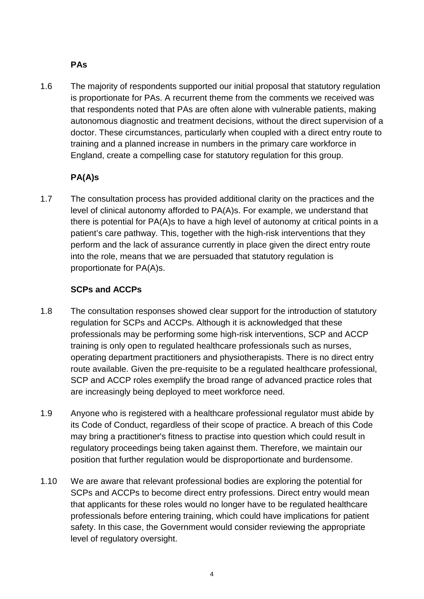#### **PAs**

1.6 The majority of respondents supported our initial proposal that statutory regulation is proportionate for PAs. A recurrent theme from the comments we received was that respondents noted that PAs are often alone with vulnerable patients, making autonomous diagnostic and treatment decisions, without the direct supervision of a doctor. These circumstances, particularly when coupled with a direct entry route to training and a planned increase in numbers in the primary care workforce in England, create a compelling case for statutory regulation for this group.

#### **PA(A)s**

1.7 The consultation process has provided additional clarity on the practices and the level of clinical autonomy afforded to PA(A)s. For example, we understand that there is potential for PA(A)s to have a high level of autonomy at critical points in a patient's care pathway. This, together with the high-risk interventions that they perform and the lack of assurance currently in place given the direct entry route into the role, means that we are persuaded that statutory regulation is proportionate for PA(A)s.

#### **SCPs and ACCPs**

- 1.8 The consultation responses showed clear support for the introduction of statutory regulation for SCPs and ACCPs. Although it is acknowledged that these professionals may be performing some high-risk interventions, SCP and ACCP training is only open to regulated healthcare professionals such as nurses, operating department practitioners and physiotherapists. There is no direct entry route available. Given the pre-requisite to be a regulated healthcare professional, SCP and ACCP roles exemplify the broad range of advanced practice roles that are increasingly being deployed to meet workforce need.
- 1.9 Anyone who is registered with a healthcare professional regulator must abide by its Code of Conduct, regardless of their scope of practice. A breach of this Code may bring a practitioner's fitness to practise into question which could result in regulatory proceedings being taken against them. Therefore, we maintain our position that further regulation would be disproportionate and burdensome.
- 1.10 We are aware that relevant professional bodies are exploring the potential for SCPs and ACCPs to become direct entry professions. Direct entry would mean that applicants for these roles would no longer have to be regulated healthcare professionals before entering training, which could have implications for patient safety. In this case, the Government would consider reviewing the appropriate level of regulatory oversight.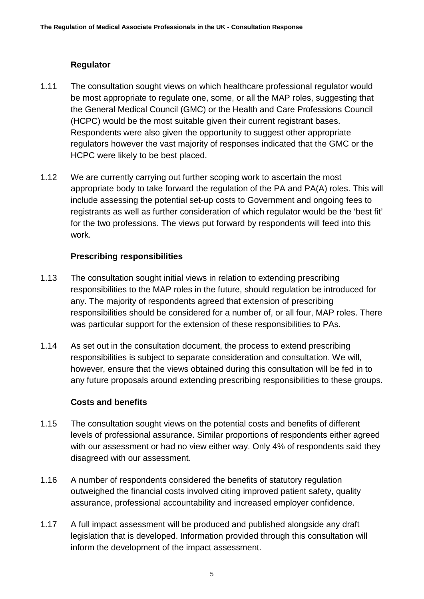#### **Regulator**

- 1.11 The consultation sought views on which healthcare professional regulator would be most appropriate to regulate one, some, or all the MAP roles, suggesting that the General Medical Council (GMC) or the Health and Care Professions Council (HCPC) would be the most suitable given their current registrant bases. Respondents were also given the opportunity to suggest other appropriate regulators however the vast majority of responses indicated that the GMC or the HCPC were likely to be best placed.
- 1.12 We are currently carrying out further scoping work to ascertain the most appropriate body to take forward the regulation of the PA and PA(A) roles. This will include assessing the potential set-up costs to Government and ongoing fees to registrants as well as further consideration of which regulator would be the 'best fit' for the two professions. The views put forward by respondents will feed into this work.

#### **Prescribing responsibilities**

- 1.13 The consultation sought initial views in relation to extending prescribing responsibilities to the MAP roles in the future, should regulation be introduced for any. The majority of respondents agreed that extension of prescribing responsibilities should be considered for a number of, or all four, MAP roles. There was particular support for the extension of these responsibilities to PAs.
- 1.14 As set out in the consultation document, the process to extend prescribing responsibilities is subject to separate consideration and consultation. We will, however, ensure that the views obtained during this consultation will be fed in to any future proposals around extending prescribing responsibilities to these groups.

#### **Costs and benefits**

- 1.15 The consultation sought views on the potential costs and benefits of different levels of professional assurance. Similar proportions of respondents either agreed with our assessment or had no view either way. Only 4% of respondents said they disagreed with our assessment.
- 1.16 A number of respondents considered the benefits of statutory regulation outweighed the financial costs involved citing improved patient safety, quality assurance, professional accountability and increased employer confidence.
- 1.17 A full impact assessment will be produced and published alongside any draft legislation that is developed. Information provided through this consultation will inform the development of the impact assessment.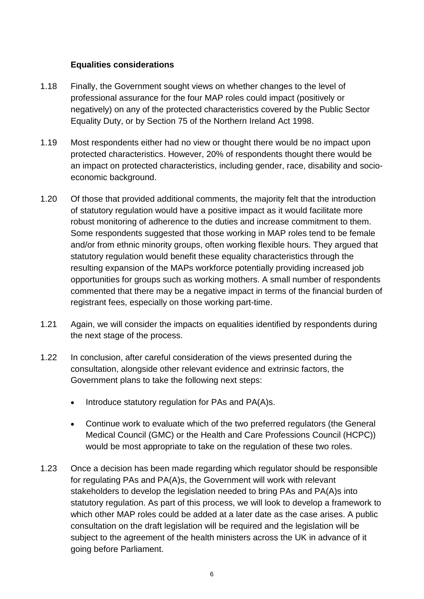#### **Equalities considerations**

- 1.18 Finally, the Government sought views on whether changes to the level of professional assurance for the four MAP roles could impact (positively or negatively) on any of the protected characteristics covered by the Public Sector Equality Duty, or by Section 75 of the Northern Ireland Act 1998.
- 1.19 Most respondents either had no view or thought there would be no impact upon protected characteristics. However, 20% of respondents thought there would be an impact on protected characteristics, including gender, race, disability and socioeconomic background.
- 1.20 Of those that provided additional comments, the majority felt that the introduction of statutory regulation would have a positive impact as it would facilitate more robust monitoring of adherence to the duties and increase commitment to them. Some respondents suggested that those working in MAP roles tend to be female and/or from ethnic minority groups, often working flexible hours. They argued that statutory regulation would benefit these equality characteristics through the resulting expansion of the MAPs workforce potentially providing increased job opportunities for groups such as working mothers. A small number of respondents commented that there may be a negative impact in terms of the financial burden of registrant fees, especially on those working part-time.
- 1.21 Again, we will consider the impacts on equalities identified by respondents during the next stage of the process.
- 1.22 In conclusion, after careful consideration of the views presented during the consultation, alongside other relevant evidence and extrinsic factors, the Government plans to take the following next steps:
	- Introduce statutory regulation for PAs and PA(A)s.
	- Continue work to evaluate which of the two preferred regulators (the General Medical Council (GMC) or the Health and Care Professions Council (HCPC)) would be most appropriate to take on the regulation of these two roles.
- 1.23 Once a decision has been made regarding which regulator should be responsible for regulating PAs and PA(A)s, the Government will work with relevant stakeholders to develop the legislation needed to bring PAs and PA(A)s into statutory regulation. As part of this process, we will look to develop a framework to which other MAP roles could be added at a later date as the case arises. A public consultation on the draft legislation will be required and the legislation will be subject to the agreement of the health ministers across the UK in advance of it going before Parliament.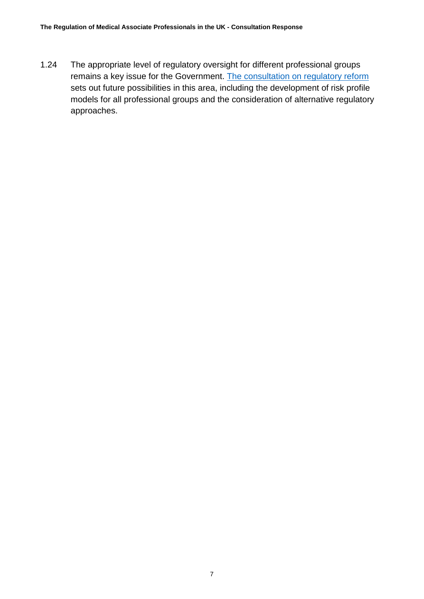1.24 The appropriate level of regulatory oversight for different professional groups remains a key issue for the Government. [The consultation on regulatory reform](https://www.gov.uk/government/consultations/promoting-professionalism-reforming-regulation) sets out future possibilities in this area, including the development of risk profile models for all professional groups and the consideration of alternative regulatory approaches.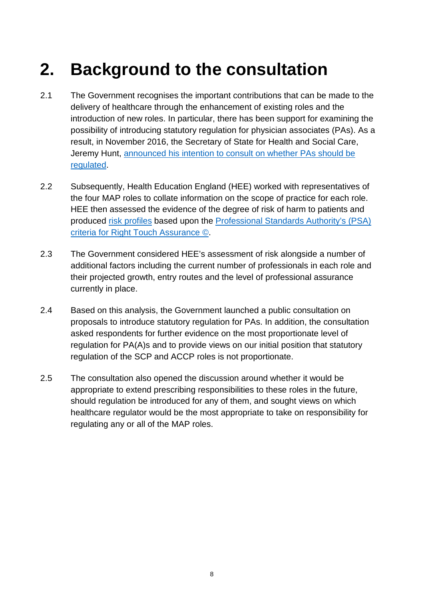### <span id="page-7-0"></span>**2. Background to the consultation**

- 2.1 The Government recognises the important contributions that can be made to the delivery of healthcare through the enhancement of existing roles and the introduction of new roles. In particular, there has been support for examining the possibility of introducing statutory regulation for physician associates (PAs). As a result, in November 2016, the Secretary of State for Health and Social Care, Jeremy Hunt, [announced his intention to consult on whether PAs should be](https://www.gov.uk/government/speeches/nhs-providers-annual-conference-keynote-speech)  [regulated.](https://www.gov.uk/government/speeches/nhs-providers-annual-conference-keynote-speech)
- 2.2 Subsequently, Health Education England (HEE) worked with representatives of the four MAP roles to collate information on the scope of practice for each role. HEE then assessed the evidence of the degree of risk of harm to patients and produced [risk profiles](https://www.gov.uk/government/consultations/regulating-medical-associate-professions-in-the-uk) based upon the [Professional Standards Authority's \(PSA\)](https://www.professionalstandards.org.uk/what-we-do/improving-regulation/right-touch-regulation)  [criteria for Right Touch Assurance ©.](https://www.professionalstandards.org.uk/what-we-do/improving-regulation/right-touch-regulation)
- 2.3 The Government considered HEE's assessment of risk alongside a number of additional factors including the current number of professionals in each role and their projected growth, entry routes and the level of professional assurance currently in place.
- 2.4 Based on this analysis, the Government launched a public consultation on proposals to introduce statutory regulation for PAs. In addition, the consultation asked respondents for further evidence on the most proportionate level of regulation for PA(A)s and to provide views on our initial position that statutory regulation of the SCP and ACCP roles is not proportionate.
- 2.5 The consultation also opened the discussion around whether it would be appropriate to extend prescribing responsibilities to these roles in the future, should regulation be introduced for any of them, and sought views on which healthcare regulator would be the most appropriate to take on responsibility for regulating any or all of the MAP roles.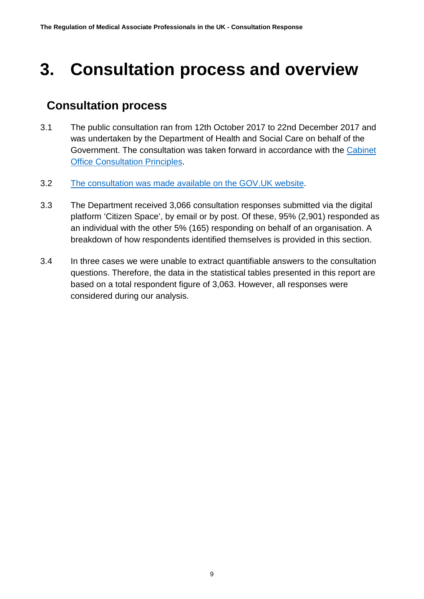### <span id="page-8-0"></span>**3. Consultation process and overview**

### **Consultation process**

- 3.1 The public consultation ran from 12th October 2017 to 22nd December 2017 and was undertaken by the Department of Health and Social Care on behalf of the Government. The consultation was taken forward in accordance with the [Cabinet](https://www.gov.uk/government/publications/consultation-principles-guidance)  [Office Consultation Principles.](https://www.gov.uk/government/publications/consultation-principles-guidance)
- 3.2 [The consultation was made available](https://www.gov.uk/government/consultations/regulating-medical-associate-professions-in-the-uk) on the GOV.UK website.
- 3.3 The Department received 3,066 consultation responses submitted via the digital platform 'Citizen Space', by email or by post. Of these, 95% (2,901) responded as an individual with the other 5% (165) responding on behalf of an organisation. A breakdown of how respondents identified themselves is provided in this section.
- 3.4 In three cases we were unable to extract quantifiable answers to the consultation questions. Therefore, the data in the statistical tables presented in this report are based on a total respondent figure of 3,063. However, all responses were considered during our analysis.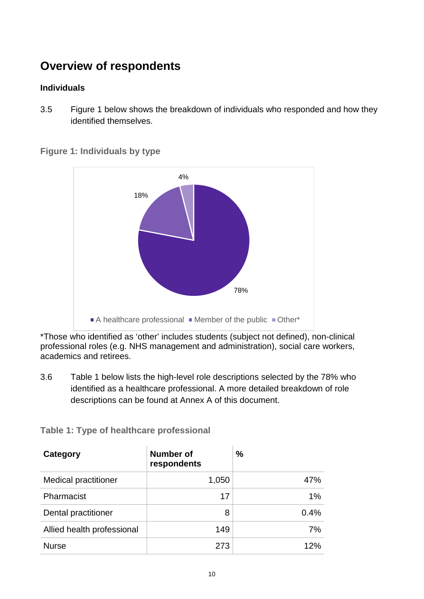### **Overview of respondents**

#### **Individuals**

3.5 Figure 1 below shows the breakdown of individuals who responded and how they identified themselves.



**Figure 1: Individuals by type**

\*Those who identified as 'other' includes students (subject not defined), non-clinical professional roles (e.g. NHS management and administration), social care workers, academics and retirees.

3.6 Table 1 below lists the high-level role descriptions selected by the 78% who identified as a healthcare professional. A more detailed breakdown of role descriptions can be found at Annex A of this document.

| Category                    | <b>Number of</b><br>respondents | $\frac{0}{0}$ |
|-----------------------------|---------------------------------|---------------|
| <b>Medical practitioner</b> | 1,050                           | 47%           |
| Pharmacist                  | 17                              | 1%            |
| Dental practitioner         | 8                               | 0.4%          |
| Allied health professional  | 149                             | 7%            |
| <b>Nurse</b>                | 273                             | 12%           |

**Table 1: Type of healthcare professional**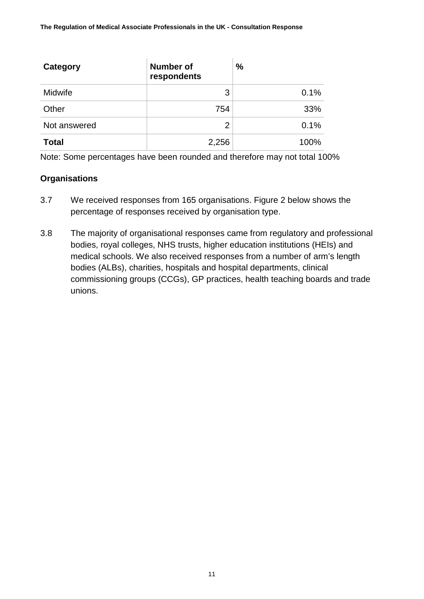| Category     | <b>Number of</b><br>respondents | $\frac{0}{0}$ |
|--------------|---------------------------------|---------------|
| Midwife      | 3                               | 0.1%          |
| Other        | 754                             | 33%           |
| Not answered | $\overline{2}$                  | 0.1%          |
| <b>Total</b> | 2,256                           | 100%          |

Note: Some percentages have been rounded and therefore may not total 100%

#### **Organisations**

- 3.7 We received responses from 165 organisations. Figure 2 below shows the percentage of responses received by organisation type.
- 3.8 The majority of organisational responses came from regulatory and professional bodies, royal colleges, NHS trusts, higher education institutions (HEIs) and medical schools. We also received responses from a number of arm's length bodies (ALBs), charities, hospitals and hospital departments, clinical commissioning groups (CCGs), GP practices, health teaching boards and trade unions.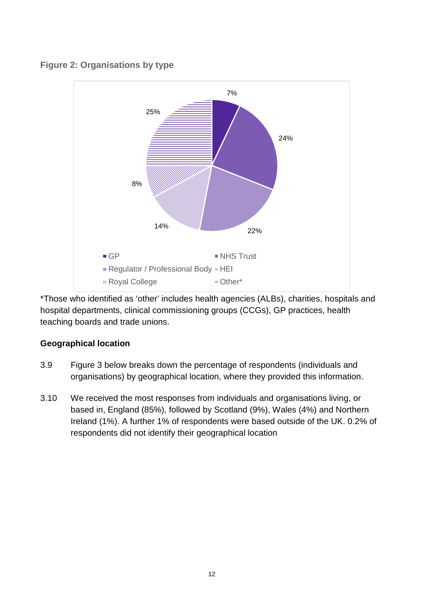#### **Figure 2: Organisations by type**



\*Those who identified as 'other' includes health agencies (ALBs), charities, hospitals and hospital departments, clinical commissioning groups (CCGs), GP practices, health teaching boards and trade unions.

#### **Geographical location**

- 3.9 Figure 3 below breaks down the percentage of respondents (individuals and organisations) by geographical location, where they provided this information.
- 3.10 We received the most responses from individuals and organisations living, or based in, England (85%), followed by Scotland (9%), Wales (4%) and Northern Ireland (1%). A further 1% of respondents were based outside of the UK. 0.2% of respondents did not identify their geographical location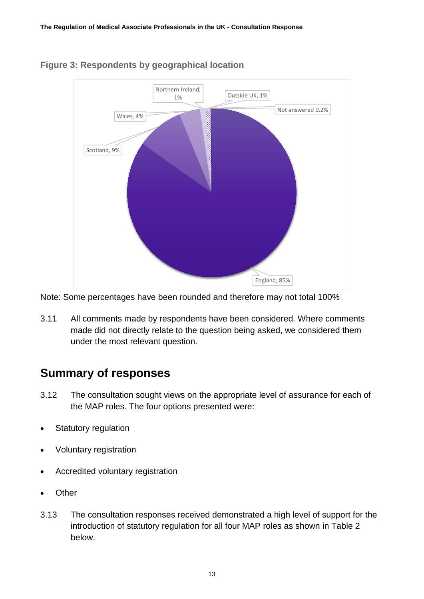

#### **Figure 3: Respondents by geographical location**

Note: Some percentages have been rounded and therefore may not total 100%

3.11 All comments made by respondents have been considered. Where comments made did not directly relate to the question being asked, we considered them under the most relevant question.

### **Summary of responses**

- 3.12 The consultation sought views on the appropriate level of assurance for each of the MAP roles. The four options presented were:
- Statutory regulation
- Voluntary registration
- Accredited voluntary registration
- **Other**
- 3.13 The consultation responses received demonstrated a high level of support for the introduction of statutory regulation for all four MAP roles as shown in Table 2 below.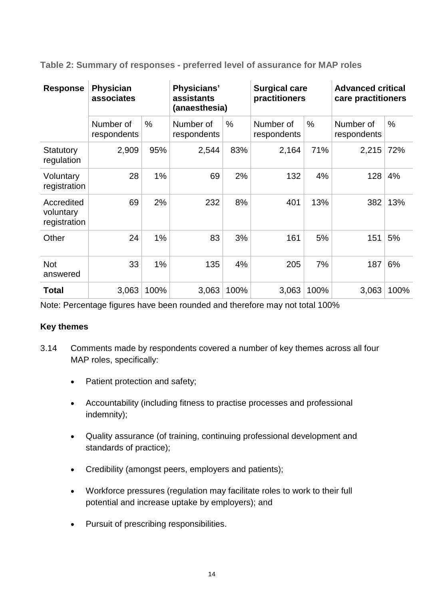**Table 2: Summary of responses - preferred level of assurance for MAP roles**

| <b>Response</b>                         | <b>Physician</b><br>associates |               | Physicians'<br>assistants<br>(anaesthesia) |      | <b>Surgical care</b><br>practitioners |      | <b>Advanced critical</b><br>care practitioners |               |
|-----------------------------------------|--------------------------------|---------------|--------------------------------------------|------|---------------------------------------|------|------------------------------------------------|---------------|
|                                         | Number of<br>respondents       | $\frac{0}{0}$ | Number of<br>respondents                   | $\%$ | Number of<br>respondents              | $\%$ | Number of<br>respondents                       | $\frac{0}{0}$ |
| Statutory<br>regulation                 | 2,909                          | 95%           | 2,544                                      | 83%  | 2,164                                 | 71%  | 2,215                                          | 72%           |
| Voluntary<br>registration               | 28                             | 1%            | 69                                         | 2%   | 132                                   | 4%   | 128                                            | 4%            |
| Accredited<br>voluntary<br>registration | 69                             | 2%            | 232                                        | 8%   | 401                                   | 13%  | 382                                            | 13%           |
| Other                                   | 24                             | 1%            | 83                                         | 3%   | 161                                   | 5%   | 151                                            | 5%            |
| <b>Not</b><br>answered                  | 33                             | 1%            | 135                                        | 4%   | 205                                   | 7%   | 187                                            | 6%            |
| <b>Total</b>                            | 3,063                          | 100%          | 3,063                                      | 100% | 3,063                                 | 100% | 3,063                                          | 100%          |

Note: Percentage figures have been rounded and therefore may not total 100%

#### **Key themes**

- 3.14 Comments made by respondents covered a number of key themes across all four MAP roles, specifically:
	- Patient protection and safety;
	- Accountability (including fitness to practise processes and professional indemnity);
	- Quality assurance (of training, continuing professional development and standards of practice);
	- Credibility (amongst peers, employers and patients);
	- Workforce pressures (regulation may facilitate roles to work to their full potential and increase uptake by employers); and
	- Pursuit of prescribing responsibilities.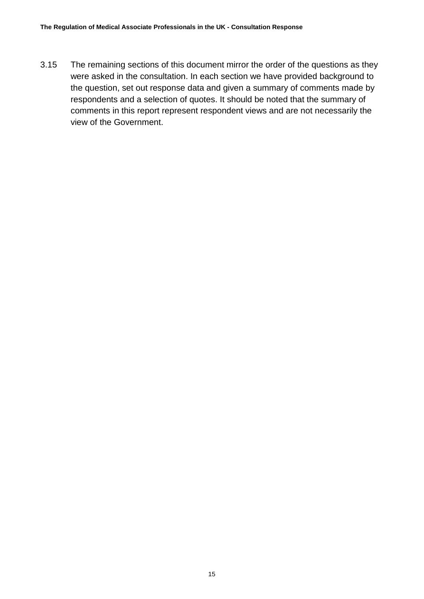3.15 The remaining sections of this document mirror the order of the questions as they were asked in the consultation. In each section we have provided background to the question, set out response data and given a summary of comments made by respondents and a selection of quotes. It should be noted that the summary of comments in this report represent respondent views and are not necessarily the view of the Government.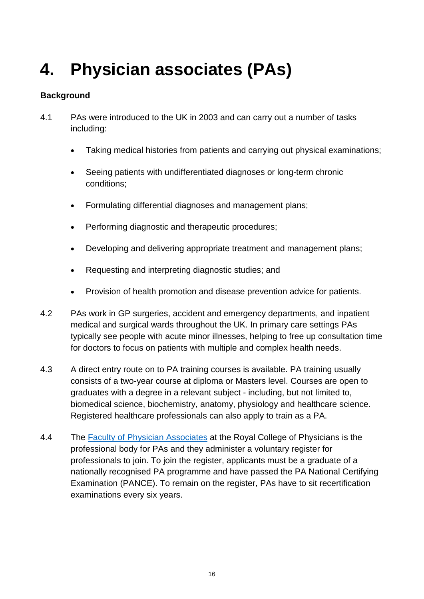# <span id="page-15-0"></span>**4. Physician associates (PAs)**

#### **Background**

- 4.1 PAs were introduced to the UK in 2003 and can carry out a number of tasks including:
	- Taking medical histories from patients and carrying out physical examinations;
	- Seeing patients with undifferentiated diagnoses or long-term chronic conditions;
	- Formulating differential diagnoses and management plans;
	- Performing diagnostic and therapeutic procedures;
	- Developing and delivering appropriate treatment and management plans;
	- Requesting and interpreting diagnostic studies; and
	- Provision of health promotion and disease prevention advice for patients.
- 4.2 PAs work in GP surgeries, accident and emergency departments, and inpatient medical and surgical wards throughout the UK. In primary care settings PAs typically see people with acute minor illnesses, helping to free up consultation time for doctors to focus on patients with multiple and complex health needs.
- 4.3 A direct entry route on to PA training courses is available. PA training usually consists of a two-year course at diploma or Masters level. Courses are open to graduates with a degree in a relevant subject - including, but not limited to, biomedical science, biochemistry, anatomy, physiology and healthcare science. Registered healthcare professionals can also apply to train as a PA.
- 4.4 The [Faculty of Physician Associates](https://www.fparcp.co.uk/about-fpa) at the Royal College of Physicians is the professional body for PAs and they administer a voluntary register for professionals to join. To join the register, applicants must be a graduate of a nationally recognised PA programme and have passed the PA National Certifying Examination (PANCE). To remain on the register, PAs have to sit recertification examinations every six years.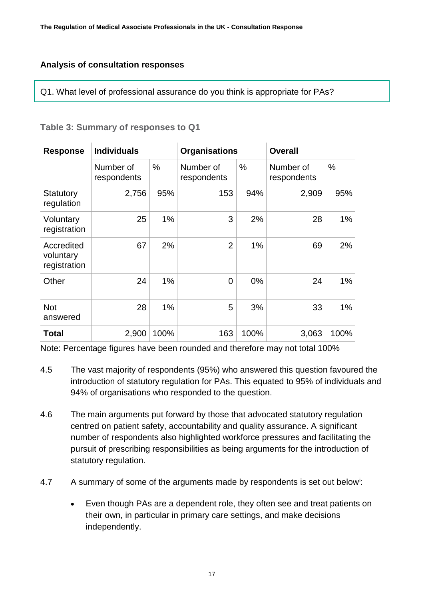#### **Analysis of consultation responses**

Q1. What level of professional assurance do you think is appropriate for PAs?

| <b>Response</b>                         | <b>Individuals</b>       |               | <b>Organisations</b>     |               | <b>Overall</b>           |      |  |
|-----------------------------------------|--------------------------|---------------|--------------------------|---------------|--------------------------|------|--|
|                                         | Number of<br>respondents | $\frac{0}{0}$ | Number of<br>respondents | $\frac{0}{0}$ | Number of<br>respondents | $\%$ |  |
| Statutory<br>regulation                 | 2,756                    | 95%           | 153                      | 94%           | 2,909                    | 95%  |  |
| Voluntary<br>registration               | 25                       | 1%            | 3                        | 2%            | 28                       | 1%   |  |
| Accredited<br>voluntary<br>registration | 67                       | 2%            | $\overline{2}$           | 1%            | 69                       | 2%   |  |
| Other                                   | 24                       | 1%            | $\overline{0}$           | $0\%$         | 24                       | 1%   |  |
| <b>Not</b><br>answered                  | 28                       | 1%            | 5                        | 3%            | 33                       | 1%   |  |
| <b>Total</b>                            | 2,900                    | 100%          | 163                      | 100%          | 3,063                    | 100% |  |

#### **Table 3: Summary of responses to Q1**

Note: Percentage figures have been rounded and therefore may not total 100%

- 4.5 The vast majority of respondents (95%) who answered this question favoured the introduction of statutory regulation for PAs. This equated to 95% of individuals and 94% of organisations who responded to the question.
- 4.6 The main arguments put forward by those that advocated statutory regulation centred on patient safety, accountability and quality assurance. A significant number of respondents also highlighted workforce pressures and facilitating the pursuit of prescribing responsibilities as being arguments for the introduction of statutory regulation.
- 4.7 A summary of some of the arguments made by respondents [i](#page-46-1)s set out below<sup>i</sup>:
	- Even though PAs are a dependent role, they often see and treat patients on their own, in particular in primary care settings, and make decisions independently.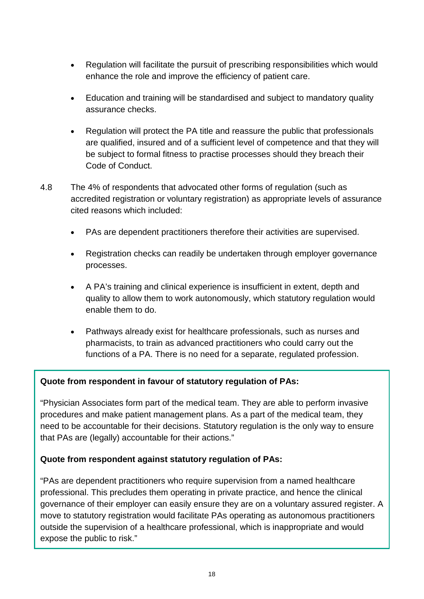- Regulation will facilitate the pursuit of prescribing responsibilities which would enhance the role and improve the efficiency of patient care.
- Education and training will be standardised and subject to mandatory quality assurance checks.
- Regulation will protect the PA title and reassure the public that professionals are qualified, insured and of a sufficient level of competence and that they will be subject to formal fitness to practise processes should they breach their Code of Conduct.
- 4.8 The 4% of respondents that advocated other forms of regulation (such as accredited registration or voluntary registration) as appropriate levels of assurance cited reasons which included:
	- PAs are dependent practitioners therefore their activities are supervised.
	- Registration checks can readily be undertaken through employer governance processes.
	- A PA's training and clinical experience is insufficient in extent, depth and quality to allow them to work autonomously, which statutory regulation would enable them to do.
	- Pathways already exist for healthcare professionals, such as nurses and pharmacists, to train as advanced practitioners who could carry out the functions of a PA. There is no need for a separate, regulated profession.

#### **Quote from respondent in favour of statutory regulation of PAs:**

"Physician Associates form part of the medical team. They are able to perform invasive procedures and make patient management plans. As a part of the medical team, they need to be accountable for their decisions. Statutory regulation is the only way to ensure that PAs are (legally) accountable for their actions."

#### **Quote from respondent against statutory regulation of PAs:**

"PAs are dependent practitioners who require supervision from a named healthcare professional. This precludes them operating in private practice, and hence the clinical governance of their employer can easily ensure they are on a voluntary assured register. A move to statutory registration would facilitate PAs operating as autonomous practitioners outside the supervision of a healthcare professional, which is inappropriate and would expose the public to risk."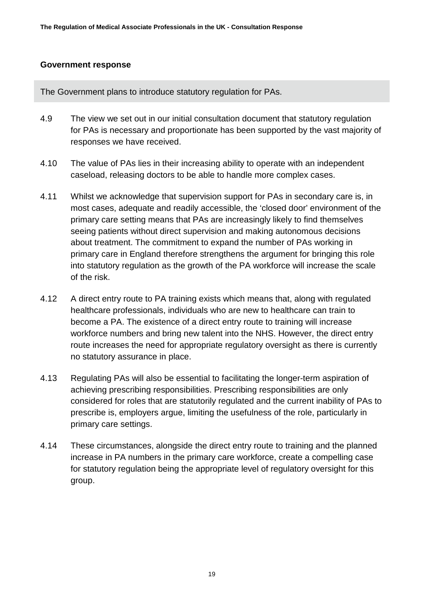#### **Government response**

The Government plans to introduce statutory regulation for PAs.

- 4.9 The view we set out in our initial consultation document that statutory regulation for PAs is necessary and proportionate has been supported by the vast majority of responses we have received.
- 4.10 The value of PAs lies in their increasing ability to operate with an independent caseload, releasing doctors to be able to handle more complex cases.
- 4.11 Whilst we acknowledge that supervision support for PAs in secondary care is, in most cases, adequate and readily accessible, the 'closed door' environment of the primary care setting means that PAs are increasingly likely to find themselves seeing patients without direct supervision and making autonomous decisions about treatment. The commitment to expand the number of PAs working in primary care in England therefore strengthens the argument for bringing this role into statutory regulation as the growth of the PA workforce will increase the scale of the risk.
- 4.12 A direct entry route to PA training exists which means that, along with regulated healthcare professionals, individuals who are new to healthcare can train to become a PA. The existence of a direct entry route to training will increase workforce numbers and bring new talent into the NHS. However, the direct entry route increases the need for appropriate regulatory oversight as there is currently no statutory assurance in place.
- 4.13 Regulating PAs will also be essential to facilitating the longer-term aspiration of achieving prescribing responsibilities. Prescribing responsibilities are only considered for roles that are statutorily regulated and the current inability of PAs to prescribe is, employers argue, limiting the usefulness of the role, particularly in primary care settings.
- 4.14 These circumstances, alongside the direct entry route to training and the planned increase in PA numbers in the primary care workforce, create a compelling case for statutory regulation being the appropriate level of regulatory oversight for this group.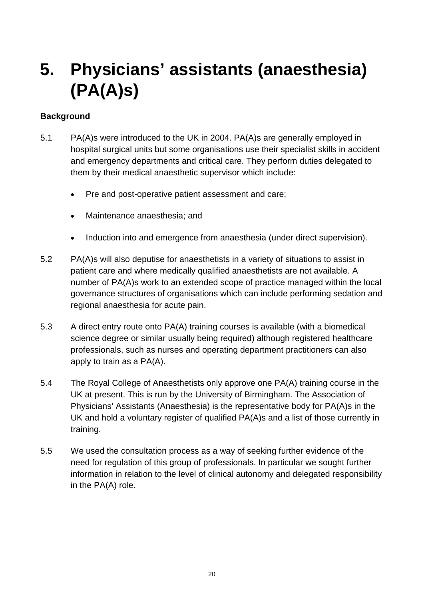## <span id="page-19-0"></span>**5. Physicians' assistants (anaesthesia) (PA(A)s)**

#### **Background**

- 5.1 PA(A)s were introduced to the UK in 2004. PA(A)s are generally employed in hospital surgical units but some organisations use their specialist skills in accident and emergency departments and critical care. They perform duties delegated to them by their medical anaesthetic supervisor which include:
	- Pre and post-operative patient assessment and care;
	- Maintenance anaesthesia; and
	- Induction into and emergence from anaesthesia (under direct supervision).
- 5.2 PA(A)s will also deputise for anaesthetists in a variety of situations to assist in patient care and where medically qualified anaesthetists are not available. A number of PA(A)s work to an extended scope of practice managed within the local governance structures of organisations which can include performing sedation and regional anaesthesia for acute pain.
- 5.3 A direct entry route onto PA(A) training courses is available (with a biomedical science degree or similar usually being required) although registered healthcare professionals, such as nurses and operating department practitioners can also apply to train as a PA(A).
- 5.4 The Royal College of Anaesthetists only approve one PA(A) training course in the UK at present. This is run by the University of Birmingham. The Association of Physicians' Assistants (Anaesthesia) is the representative body for PA(A)s in the UK and hold a voluntary register of qualified PA(A)s and a list of those currently in training.
- 5.5 We used the consultation process as a way of seeking further evidence of the need for regulation of this group of professionals. In particular we sought further information in relation to the level of clinical autonomy and delegated responsibility in the PA(A) role.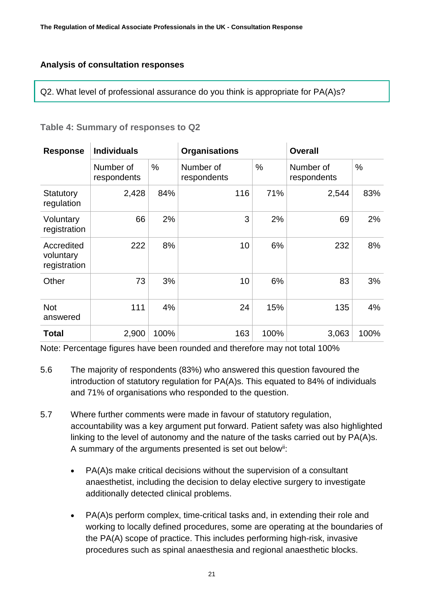#### **Analysis of consultation responses**

Q2. What level of professional assurance do you think is appropriate for PA(A)s?

| <b>Response</b>                         | <b>Individuals</b>       |               | <b>Organisations</b>     |      | <b>Overall</b>           |      |  |
|-----------------------------------------|--------------------------|---------------|--------------------------|------|--------------------------|------|--|
|                                         | Number of<br>respondents | $\frac{0}{0}$ | Number of<br>respondents | $\%$ | Number of<br>respondents | $\%$ |  |
| Statutory<br>regulation                 | 2,428                    | 84%           | 116                      | 71%  | 2,544                    | 83%  |  |
| Voluntary<br>registration               | 66                       | 2%            | 3                        | 2%   | 69                       | 2%   |  |
| Accredited<br>voluntary<br>registration | 222                      | 8%            | 10                       | 6%   | 232                      | 8%   |  |
| Other                                   | 73                       | 3%            | 10                       | 6%   | 83                       | 3%   |  |
| <b>Not</b><br>answered                  | 111                      | 4%            | 24                       | 15%  | 135                      | 4%   |  |
| <b>Total</b>                            | 2,900                    | 100%          | 163                      | 100% | 3,063                    | 100% |  |

#### **Table 4: Summary of responses to Q2**

Note: Percentage figures have been rounded and therefore may not total 100%

- 5.6 The majority of respondents (83%) who answered this question favoured the introduction of statutory regulation for PA(A)s. This equated to 84% of individuals and 71% of organisations who responded to the question.
- 5.7 Where further comments were made in favour of statutory regulation, accountability was a key argument put forward. Patient safety was also highlighted linking to the level of autonomy and the nature of the tasks carried out by PA(A)s. A summary of the arguments presented is set out below<sup>[ii](#page-46-2)</sup>:
	- PA(A)s make critical decisions without the supervision of a consultant anaesthetist, including the decision to delay elective surgery to investigate additionally detected clinical problems.
	- PA(A)s perform complex, time-critical tasks and, in extending their role and working to locally defined procedures, some are operating at the boundaries of the PA(A) scope of practice. This includes performing high-risk, invasive procedures such as spinal anaesthesia and regional anaesthetic blocks.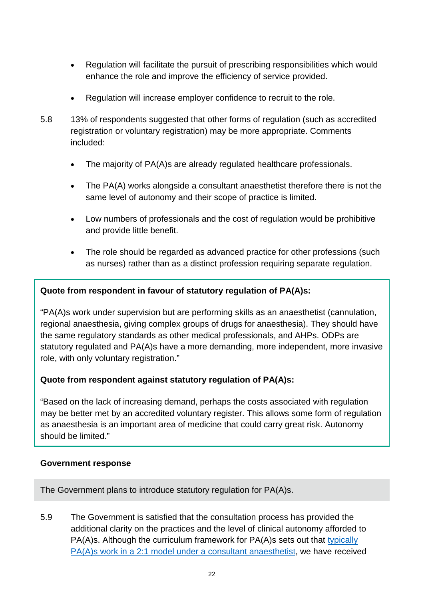- Regulation will facilitate the pursuit of prescribing responsibilities which would enhance the role and improve the efficiency of service provided.
- Regulation will increase employer confidence to recruit to the role.
- 5.8 13% of respondents suggested that other forms of regulation (such as accredited registration or voluntary registration) may be more appropriate. Comments included:
	- The majority of PA(A)s are already regulated healthcare professionals.
	- The PA(A) works alongside a consultant anaesthetist therefore there is not the same level of autonomy and their scope of practice is limited.
	- Low numbers of professionals and the cost of regulation would be prohibitive and provide little benefit.
	- The role should be regarded as advanced practice for other professions (such as nurses) rather than as a distinct profession requiring separate regulation.

#### **Quote from respondent in favour of statutory regulation of PA(A)s:**

"PA(A)s work under supervision but are performing skills as an anaesthetist (cannulation, regional anaesthesia, giving complex groups of drugs for anaesthesia). They should have the same regulatory standards as other medical professionals, and AHPs. ODPs are statutory regulated and PA(A)s have a more demanding, more independent, more invasive role, with only voluntary registration."

#### **Quote from respondent against statutory regulation of PA(A)s:**

"Based on the lack of increasing demand, perhaps the costs associated with regulation may be better met by an accredited voluntary register. This allows some form of regulation as anaesthesia is an important area of medicine that could carry great risk. Autonomy should be limited."

#### **Government response**

The Government plans to introduce statutory regulation for PA(A)s.

5.9 The Government is satisfied that the consultation process has provided the additional clarity on the practices and the level of clinical autonomy afforded to PA(A)s. Although the curriculum framework for PA(A)s sets out that typically [PA\(A\)s work in a 2:1 model under a consultant anaesthetist,](https://www.rcoa.ac.uk/node/261) we have received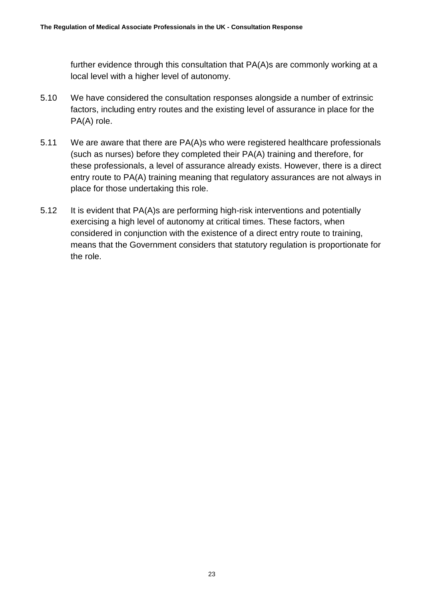further evidence through this consultation that PA(A)s are commonly working at a local level with a higher level of autonomy.

- 5.10 We have considered the consultation responses alongside a number of extrinsic factors, including entry routes and the existing level of assurance in place for the PA(A) role.
- 5.11 We are aware that there are PA(A)s who were registered healthcare professionals (such as nurses) before they completed their PA(A) training and therefore, for these professionals, a level of assurance already exists. However, there is a direct entry route to PA(A) training meaning that regulatory assurances are not always in place for those undertaking this role.
- 5.12 It is evident that PA(A)s are performing high-risk interventions and potentially exercising a high level of autonomy at critical times. These factors, when considered in conjunction with the existence of a direct entry route to training, means that the Government considers that statutory regulation is proportionate for the role.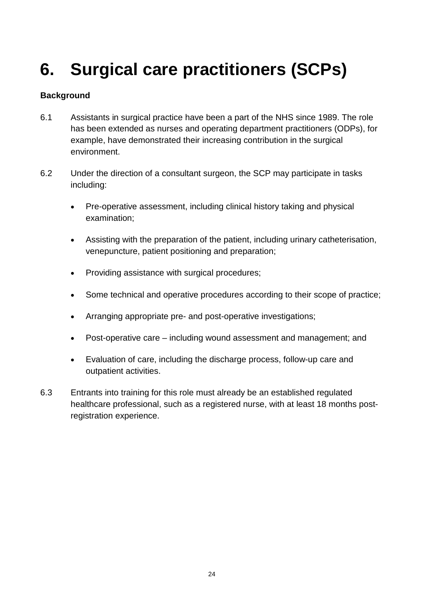# <span id="page-23-0"></span>**6. Surgical care practitioners (SCPs)**

#### **Background**

- 6.1 Assistants in surgical practice have been a part of the NHS since 1989. The role has been extended as nurses and operating department practitioners (ODPs), for example, have demonstrated their increasing contribution in the surgical environment.
- 6.2 Under the direction of a consultant surgeon, the SCP may participate in tasks including:
	- Pre-operative assessment, including clinical history taking and physical examination;
	- Assisting with the preparation of the patient, including urinary catheterisation, venepuncture, patient positioning and preparation;
	- Providing assistance with surgical procedures;
	- Some technical and operative procedures according to their scope of practice;
	- Arranging appropriate pre- and post-operative investigations;
	- Post-operative care including wound assessment and management; and
	- Evaluation of care, including the discharge process, follow-up care and outpatient activities.
- 6.3 Entrants into training for this role must already be an established regulated healthcare professional, such as a registered nurse, with at least 18 months postregistration experience.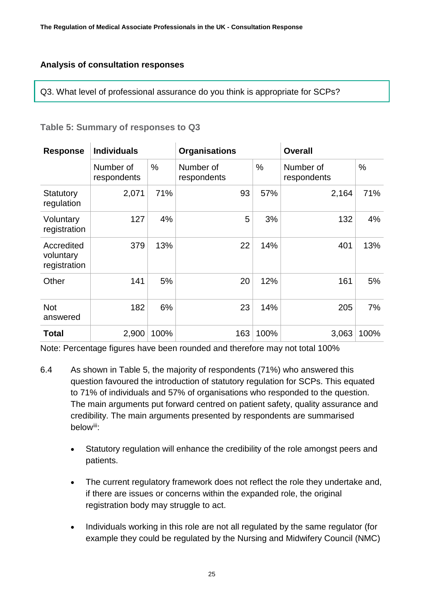#### **Analysis of consultation responses**

Q3. What level of professional assurance do you think is appropriate for SCPs?

| <b>Response</b>                         | <b>Individuals</b>       |               | <b>Organisations</b>     |      | <b>Overall</b>           |               |  |
|-----------------------------------------|--------------------------|---------------|--------------------------|------|--------------------------|---------------|--|
|                                         | Number of<br>respondents | $\frac{0}{0}$ | Number of<br>respondents | %    | Number of<br>respondents | $\frac{0}{0}$ |  |
| Statutory<br>regulation                 | 2,071                    | 71%           | 93                       | 57%  | 2,164                    | 71%           |  |
| Voluntary<br>registration               | 127                      | 4%            | 5                        | 3%   | 132                      | 4%            |  |
| Accredited<br>voluntary<br>registration | 379                      | 13%           | 22                       | 14%  | 401                      | 13%           |  |
| Other                                   | 141                      | 5%            | 20                       | 12%  | 161                      | 5%            |  |
| <b>Not</b><br>answered                  | 182                      | 6%            | 23                       | 14%  | 205                      | 7%            |  |
| <b>Total</b>                            | 2,900                    | 100%          | 163                      | 100% | 3,063                    | 100%          |  |

#### **Table 5: Summary of responses to Q3**

Note: Percentage figures have been rounded and therefore may not total 100%

- 6.4 As shown in Table 5, the majority of respondents (71%) who answered this question favoured the introduction of statutory regulation for SCPs. This equated to 71% of individuals and 57% of organisations who responded to the question. The main arguments put forward centred on patient safety, quality assurance and credibility. The main arguments presented by respondents are summarised below[iii:](#page-46-3)
	- Statutory regulation will enhance the credibility of the role amongst peers and patients.
	- The current regulatory framework does not reflect the role they undertake and, if there are issues or concerns within the expanded role, the original registration body may struggle to act.
	- Individuals working in this role are not all regulated by the same regulator (for example they could be regulated by the Nursing and Midwifery Council (NMC)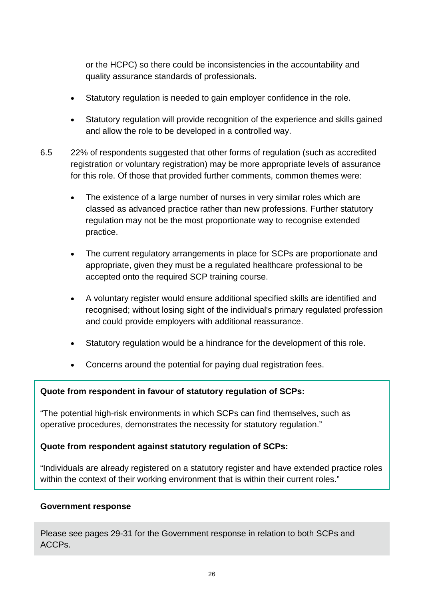or the HCPC) so there could be inconsistencies in the accountability and quality assurance standards of professionals.

- Statutory regulation is needed to gain employer confidence in the role.
- Statutory regulation will provide recognition of the experience and skills gained and allow the role to be developed in a controlled way.
- 6.5 22% of respondents suggested that other forms of regulation (such as accredited registration or voluntary registration) may be more appropriate levels of assurance for this role. Of those that provided further comments, common themes were:
	- The existence of a large number of nurses in very similar roles which are classed as advanced practice rather than new professions. Further statutory regulation may not be the most proportionate way to recognise extended practice.
	- The current regulatory arrangements in place for SCPs are proportionate and appropriate, given they must be a regulated healthcare professional to be accepted onto the required SCP training course.
	- A voluntary register would ensure additional specified skills are identified and recognised; without losing sight of the individual's primary regulated profession and could provide employers with additional reassurance.
	- Statutory regulation would be a hindrance for the development of this role.
	- Concerns around the potential for paying dual registration fees.

#### **Quote from respondent in favour of statutory regulation of SCPs:**

"The potential high-risk environments in which SCPs can find themselves, such as operative procedures, demonstrates the necessity for statutory regulation."

#### **Quote from respondent against statutory regulation of SCPs:**

"Individuals are already registered on a statutory register and have extended practice roles within the context of their working environment that is within their current roles."

#### **Government response**

Please see pages 29-31 for the Government response in relation to both SCPs and ACCPs.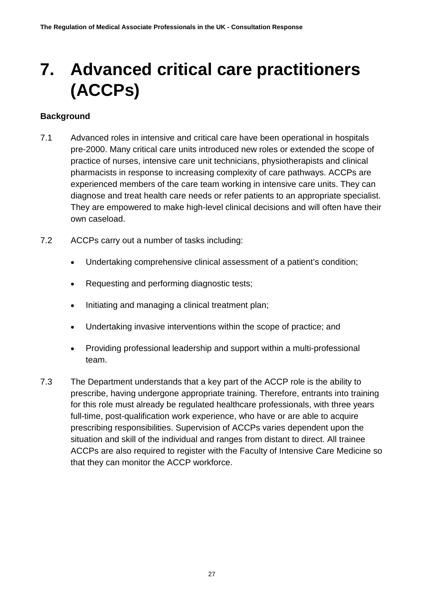### <span id="page-26-0"></span>**7. Advanced critical care practitioners (ACCPs)**

#### **Background**

- 7.1 Advanced roles in intensive and critical care have been operational in hospitals pre-2000. Many critical care units introduced new roles or extended the scope of practice of nurses, intensive care unit technicians, physiotherapists and clinical pharmacists in response to increasing complexity of care pathways. ACCPs are experienced members of the care team working in intensive care units. They can diagnose and treat health care needs or refer patients to an appropriate specialist. They are empowered to make high-level clinical decisions and will often have their own caseload.
- 7.2 ACCPs carry out a number of tasks including:
	- Undertaking comprehensive clinical assessment of a patient's condition;
	- Requesting and performing diagnostic tests;
	- Initiating and managing a clinical treatment plan;
	- Undertaking invasive interventions within the scope of practice; and
	- Providing professional leadership and support within a multi-professional team.
- 7.3 The Department understands that a key part of the ACCP role is the ability to prescribe, having undergone appropriate training. Therefore, entrants into training for this role must already be regulated healthcare professionals, with three years full-time, post-qualification work experience, who have or are able to acquire prescribing responsibilities. Supervision of ACCPs varies dependent upon the situation and skill of the individual and ranges from distant to direct. All trainee ACCPs are also required to register with the Faculty of Intensive Care Medicine so that they can monitor the ACCP workforce.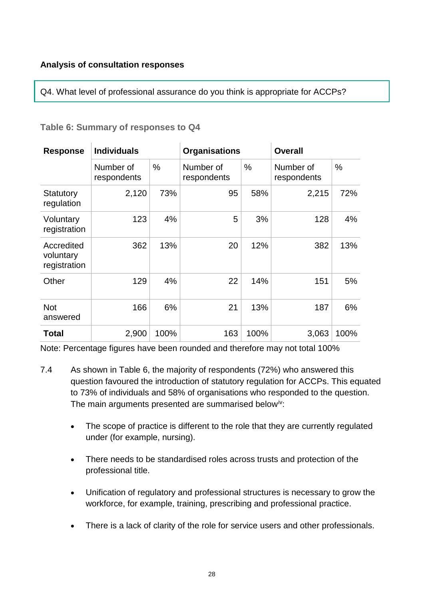#### **Analysis of consultation responses**

Q4. What level of professional assurance do you think is appropriate for ACCPs?

| <b>Response</b>                         | <b>Individuals</b>       |      | <b>Organisations</b>     |      | <b>Overall</b>           |      |  |
|-----------------------------------------|--------------------------|------|--------------------------|------|--------------------------|------|--|
|                                         | Number of<br>respondents | $\%$ | Number of<br>respondents | %    | Number of<br>respondents | %    |  |
| Statutory<br>regulation                 | 2,120                    | 73%  | 95                       | 58%  | 2,215                    | 72%  |  |
| Voluntary<br>registration               | 123                      | 4%   | 5                        | 3%   | 128                      | 4%   |  |
| Accredited<br>voluntary<br>registration | 362                      | 13%  | 20                       | 12%  | 382                      | 13%  |  |
| Other                                   | 129                      | 4%   | 22                       | 14%  | 151                      | 5%   |  |
| <b>Not</b><br>answered                  | 166                      | 6%   | 21                       | 13%  | 187                      | 6%   |  |
| <b>Total</b>                            | 2,900                    | 100% | 163                      | 100% | 3,063                    | 100% |  |

#### **Table 6: Summary of responses to Q4**

Note: Percentage figures have been rounded and therefore may not total 100%

- 7.4 As shown in Table 6, the majority of respondents (72%) who answered this question favoured the introduction of statutory regulation for ACCPs. This equated to 73% of individuals and 58% of organisations who responded to the question. The main arguments presented are summarised below<sup>iv</sup>:
	- The scope of practice is different to the role that they are currently regulated under (for example, nursing).
	- There needs to be standardised roles across trusts and protection of the professional title.
	- Unification of regulatory and professional structures is necessary to grow the workforce, for example, training, prescribing and professional practice.
	- There is a lack of clarity of the role for service users and other professionals.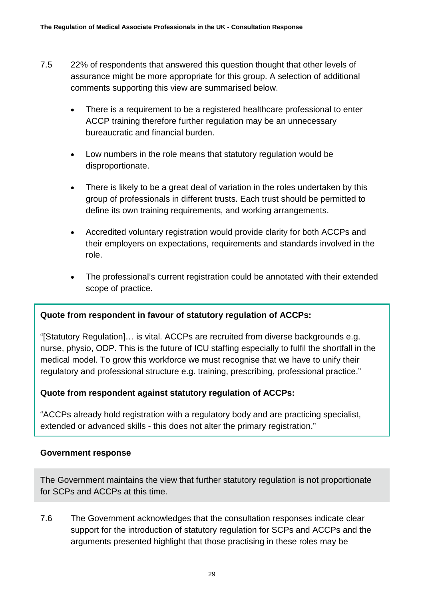- 7.5 22% of respondents that answered this question thought that other levels of assurance might be more appropriate for this group. A selection of additional comments supporting this view are summarised below.
	- There is a requirement to be a registered healthcare professional to enter ACCP training therefore further regulation may be an unnecessary bureaucratic and financial burden.
	- Low numbers in the role means that statutory regulation would be disproportionate.
	- There is likely to be a great deal of variation in the roles undertaken by this group of professionals in different trusts. Each trust should be permitted to define its own training requirements, and working arrangements.
	- Accredited voluntary registration would provide clarity for both ACCPs and their employers on expectations, requirements and standards involved in the role.
	- The professional's current registration could be annotated with their extended scope of practice.

#### **Quote from respondent in favour of statutory regulation of ACCPs:**

"[Statutory Regulation]… is vital. ACCPs are recruited from diverse backgrounds e.g. nurse, physio, ODP. This is the future of ICU staffing especially to fulfil the shortfall in the medical model. To grow this workforce we must recognise that we have to unify their regulatory and professional structure e.g. training, prescribing, professional practice."

#### **Quote from respondent against statutory regulation of ACCPs:**

"ACCPs already hold registration with a regulatory body and are practicing specialist, extended or advanced skills - this does not alter the primary registration."

#### **Government response**

The Government maintains the view that further statutory regulation is not proportionate for SCPs and ACCPs at this time.

7.6 The Government acknowledges that the consultation responses indicate clear support for the introduction of statutory regulation for SCPs and ACCPs and the arguments presented highlight that those practising in these roles may be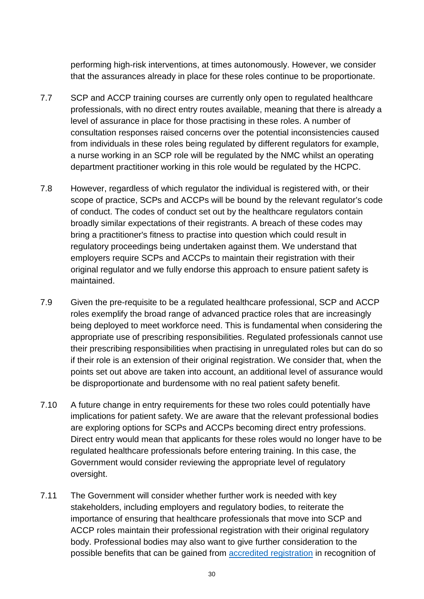performing high-risk interventions, at times autonomously. However, we consider that the assurances already in place for these roles continue to be proportionate.

- 7.7 SCP and ACCP training courses are currently only open to regulated healthcare professionals, with no direct entry routes available, meaning that there is already a level of assurance in place for those practising in these roles. A number of consultation responses raised concerns over the potential inconsistencies caused from individuals in these roles being regulated by different regulators for example, a nurse working in an SCP role will be regulated by the NMC whilst an operating department practitioner working in this role would be regulated by the HCPC.
- 7.8 However, regardless of which regulator the individual is registered with, or their scope of practice, SCPs and ACCPs will be bound by the relevant regulator's code of conduct. The codes of conduct set out by the healthcare regulators contain broadly similar expectations of their registrants. A breach of these codes may bring a practitioner's fitness to practise into question which could result in regulatory proceedings being undertaken against them. We understand that employers require SCPs and ACCPs to maintain their registration with their original regulator and we fully endorse this approach to ensure patient safety is maintained.
- 7.9 Given the pre-requisite to be a regulated healthcare professional, SCP and ACCP roles exemplify the broad range of advanced practice roles that are increasingly being deployed to meet workforce need. This is fundamental when considering the appropriate use of prescribing responsibilities. Regulated professionals cannot use their prescribing responsibilities when practising in unregulated roles but can do so if their role is an extension of their original registration. We consider that, when the points set out above are taken into account, an additional level of assurance would be disproportionate and burdensome with no real patient safety benefit.
- 7.10 A future change in entry requirements for these two roles could potentially have implications for patient safety. We are aware that the relevant professional bodies are exploring options for SCPs and ACCPs becoming direct entry professions. Direct entry would mean that applicants for these roles would no longer have to be regulated healthcare professionals before entering training. In this case, the Government would consider reviewing the appropriate level of regulatory oversight.
- 7.11 The Government will consider whether further work is needed with key stakeholders, including employers and regulatory bodies, to reiterate the importance of ensuring that healthcare professionals that move into SCP and ACCP roles maintain their professional registration with their original regulatory body. Professional bodies may also want to give further consideration to the possible benefits that can be gained from [accredited registration](https://www.professionalstandards.org.uk/what-we-do/accredited-registers) in recognition of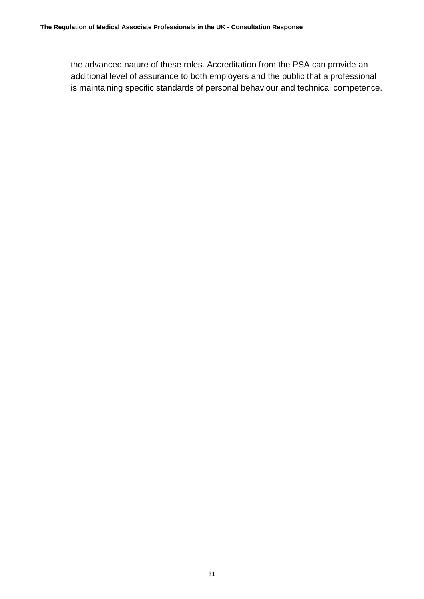the advanced nature of these roles. Accreditation from the PSA can provide an additional level of assurance to both employers and the public that a professional is maintaining specific standards of personal behaviour and technical competence.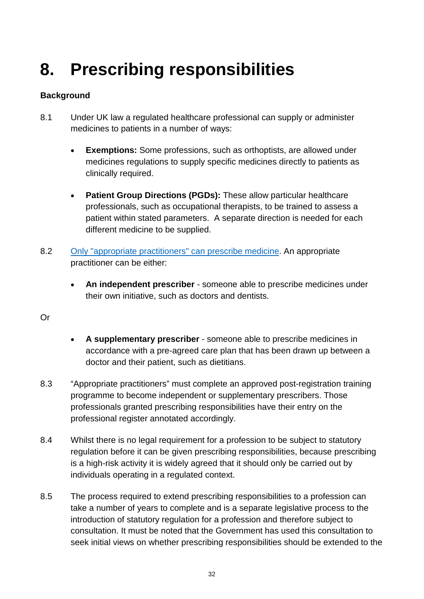# <span id="page-31-0"></span>**8. Prescribing responsibilities**

#### **Background**

- 8.1 Under UK law a regulated healthcare professional can supply or administer medicines to patients in a number of ways:
	- **Exemptions:** Some professions, such as orthoptists, are allowed under medicines regulations to supply specific medicines directly to patients as clinically required.
	- **Patient Group Directions (PGDs):** These allow particular healthcare professionals, such as occupational therapists, to be trained to assess a patient within stated parameters. A separate direction is needed for each different medicine to be supplied.
- 8.2 [Only "appropriate practitioners" can prescribe medicine.](https://www.nhs.uk/common-health-questions/medicines/who-can-write-a-prescription/) An appropriate practitioner can be either:
	- **An independent prescriber** someone able to prescribe medicines under their own initiative, such as doctors and dentists.

Or

- **A supplementary prescriber**  someone able to prescribe medicines in accordance with a pre-agreed care plan that has been drawn up between a doctor and their patient, such as dietitians.
- 8.3 "Appropriate practitioners" must complete an approved post-registration training programme to become independent or supplementary prescribers. Those professionals granted prescribing responsibilities have their entry on the professional register annotated accordingly.
- 8.4 Whilst there is no legal requirement for a profession to be subject to statutory regulation before it can be given prescribing responsibilities, because prescribing is a high-risk activity it is widely agreed that it should only be carried out by individuals operating in a regulated context.
- 8.5 The process required to extend prescribing responsibilities to a profession can take a number of years to complete and is a separate legislative process to the introduction of statutory regulation for a profession and therefore subject to consultation. It must be noted that the Government has used this consultation to seek initial views on whether prescribing responsibilities should be extended to the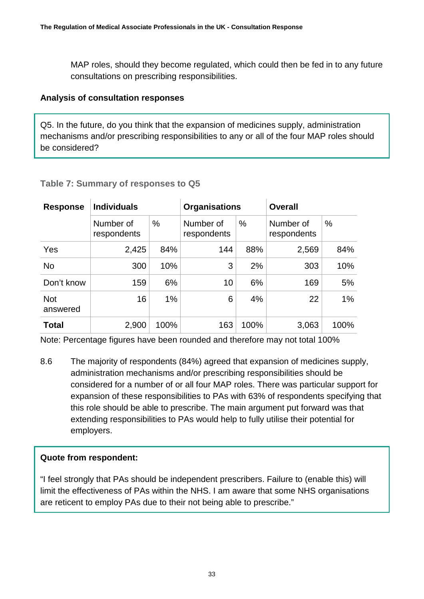MAP roles, should they become regulated, which could then be fed in to any future consultations on prescribing responsibilities.

#### **Analysis of consultation responses**

Q5. In the future, do you think that the expansion of medicines supply, administration mechanisms and/or prescribing responsibilities to any or all of the four MAP roles should be considered?

#### **Table 7: Summary of responses to Q5**

| <b>Response</b>        | <b>Individuals</b>       |       | <b>Organisations</b>     |      | <b>Overall</b>           |      |  |
|------------------------|--------------------------|-------|--------------------------|------|--------------------------|------|--|
|                        | Number of<br>respondents | %     | Number of<br>respondents | $\%$ | Number of<br>respondents | $\%$ |  |
| Yes                    | 2,425                    | 84%   | 144                      | 88%  | 2,569                    | 84%  |  |
| <b>No</b>              | 300                      | 10%   | 3                        | 2%   | 303                      | 10%  |  |
| Don't know             | 159                      | 6%    | 10                       | 6%   | 169                      | 5%   |  |
| <b>Not</b><br>answered | 16                       | $1\%$ | 6                        | 4%   | 22                       | 1%   |  |
| <b>Total</b>           | 2,900                    | 100%  | 163                      | 100% | 3,063                    | 100% |  |

Note: Percentage figures have been rounded and therefore may not total 100%

8.6 The majority of respondents (84%) agreed that expansion of medicines supply, administration mechanisms and/or prescribing responsibilities should be considered for a number of or all four MAP roles. There was particular support for expansion of these responsibilities to PAs with 63% of respondents specifying that this role should be able to prescribe. The main argument put forward was that extending responsibilities to PAs would help to fully utilise their potential for employers.

#### **Quote from respondent:**

"I feel strongly that PAs should be independent prescribers. Failure to (enable this) will limit the effectiveness of PAs within the NHS. I am aware that some NHS organisations are reticent to employ PAs due to their not being able to prescribe."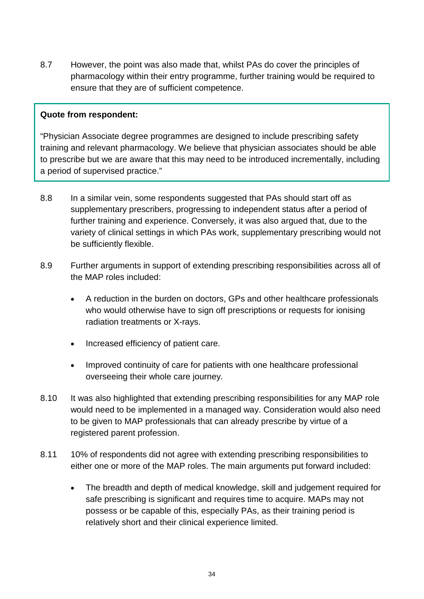8.7 However, the point was also made that, whilst PAs do cover the principles of pharmacology within their entry programme, further training would be required to ensure that they are of sufficient competence.

#### **Quote from respondent:**

"Physician Associate degree programmes are designed to include prescribing safety training and relevant pharmacology. We believe that physician associates should be able to prescribe but we are aware that this may need to be introduced incrementally, including a period of supervised practice."

- 8.8 In a similar vein, some respondents suggested that PAs should start off as supplementary prescribers, progressing to independent status after a period of further training and experience. Conversely, it was also argued that, due to the variety of clinical settings in which PAs work, supplementary prescribing would not be sufficiently flexible.
- 8.9 Further arguments in support of extending prescribing responsibilities across all of the MAP roles included:
	- A reduction in the burden on doctors, GPs and other healthcare professionals who would otherwise have to sign off prescriptions or requests for ionising radiation treatments or X-rays.
	- Increased efficiency of patient care.
	- Improved continuity of care for patients with one healthcare professional overseeing their whole care journey.
- 8.10 It was also highlighted that extending prescribing responsibilities for any MAP role would need to be implemented in a managed way. Consideration would also need to be given to MAP professionals that can already prescribe by virtue of a registered parent profession.
- 8.11 10% of respondents did not agree with extending prescribing responsibilities to either one or more of the MAP roles. The main arguments put forward included:
	- The breadth and depth of medical knowledge, skill and judgement required for safe prescribing is significant and requires time to acquire. MAPs may not possess or be capable of this, especially PAs, as their training period is relatively short and their clinical experience limited.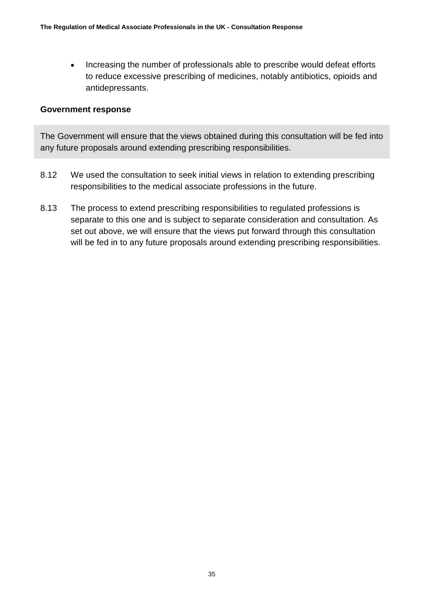• Increasing the number of professionals able to prescribe would defeat efforts to reduce excessive prescribing of medicines, notably antibiotics, opioids and antidepressants.

#### **Government response**

The Government will ensure that the views obtained during this consultation will be fed into any future proposals around extending prescribing responsibilities.

- 8.12 We used the consultation to seek initial views in relation to extending prescribing responsibilities to the medical associate professions in the future.
- 8.13 The process to extend prescribing responsibilities to regulated professions is separate to this one and is subject to separate consideration and consultation. As set out above, we will ensure that the views put forward through this consultation will be fed in to any future proposals around extending prescribing responsibilities.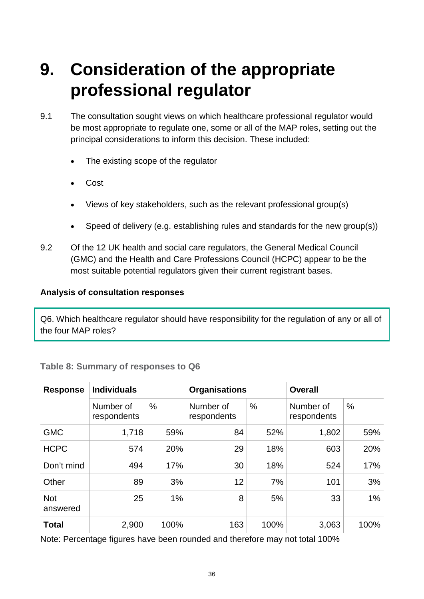### <span id="page-35-0"></span>**9. Consideration of the appropriate professional regulator**

- 9.1 The consultation sought views on which healthcare professional regulator would be most appropriate to regulate one, some or all of the MAP roles, setting out the principal considerations to inform this decision. These included:
	- The existing scope of the regulator
	- **Cost**
	- Views of key stakeholders, such as the relevant professional group(s)
	- Speed of delivery (e.g. establishing rules and standards for the new group(s))
- 9.2 Of the 12 UK health and social care regulators, the General Medical Council (GMC) and the Health and Care Professions Council (HCPC) appear to be the most suitable potential regulators given their current registrant bases.

#### **Analysis of consultation responses**

Q6. Which healthcare regulator should have responsibility for the regulation of any or all of the four MAP roles?

| <b>Response</b>        | <b>Individuals</b>       |      | <b>Organisations</b>     |      | <b>Overall</b>           |      |
|------------------------|--------------------------|------|--------------------------|------|--------------------------|------|
|                        | Number of<br>respondents | %    | Number of<br>respondents | $\%$ | Number of<br>respondents | %    |
| <b>GMC</b>             | 1,718                    | 59%  | 84                       | 52%  | 1,802                    | 59%  |
| <b>HCPC</b>            | 574                      | 20%  | 29                       | 18%  | 603                      | 20%  |
| Don't mind             | 494                      | 17%  | 30                       | 18%  | 524                      | 17%  |
| Other                  | 89                       | 3%   | 12                       | 7%   | 101                      | 3%   |
| <b>Not</b><br>answered | 25                       | 1%   | 8                        | 5%   | 33                       | 1%   |
| <b>Total</b>           | 2,900                    | 100% | 163                      | 100% | 3,063                    | 100% |

**Table 8: Summary of responses to Q6**

Note: Percentage figures have been rounded and therefore may not total 100%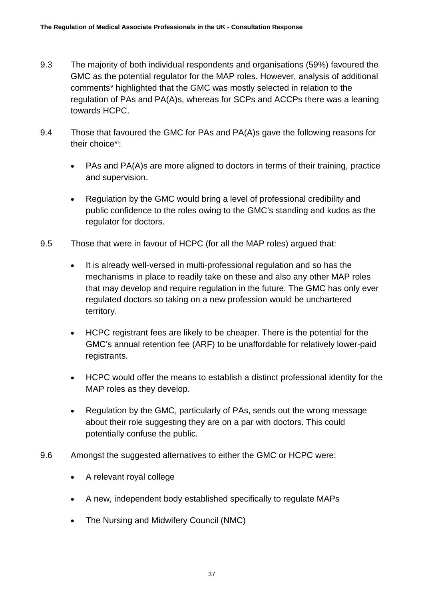- 9.3 The majority of both individual respondents and organisations (59%) favoured the GMC as the potential regulator for the MAP roles. However, analysis of additional comments<sup>[v](#page-46-5)</sup> highlighted that the GMC was mostly selected in relation to the regulation of PAs and PA(A)s, whereas for SCPs and ACCPs there was a leaning towards HCPC.
- 9.4 Those that favoured the GMC for PAs and PA(A)s gave the following reasons for their choice<sup>vi</sup>:
	- PAs and PA(A)s are more aligned to doctors in terms of their training, practice and supervision.
	- Regulation by the GMC would bring a level of professional credibility and public confidence to the roles owing to the GMC's standing and kudos as the regulator for doctors.
- 9.5 Those that were in favour of HCPC (for all the MAP roles) argued that:
	- It is already well-versed in multi-professional regulation and so has the mechanisms in place to readily take on these and also any other MAP roles that may develop and require regulation in the future. The GMC has only ever regulated doctors so taking on a new profession would be unchartered territory.
	- HCPC registrant fees are likely to be cheaper. There is the potential for the GMC's annual retention fee (ARF) to be unaffordable for relatively lower-paid registrants.
	- HCPC would offer the means to establish a distinct professional identity for the MAP roles as they develop.
	- Regulation by the GMC, particularly of PAs, sends out the wrong message about their role suggesting they are on a par with doctors. This could potentially confuse the public.
- 9.6 Amongst the suggested alternatives to either the GMC or HCPC were:
	- A relevant royal college
	- A new, independent body established specifically to regulate MAPs
	- The Nursing and Midwifery Council (NMC)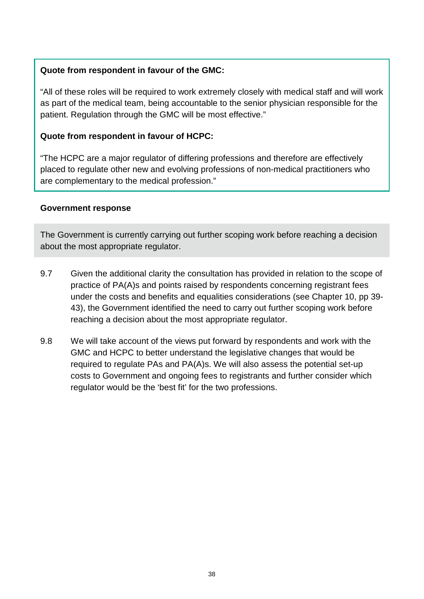#### **Quote from respondent in favour of the GMC:**

"All of these roles will be required to work extremely closely with medical staff and will work as part of the medical team, being accountable to the senior physician responsible for the patient. Regulation through the GMC will be most effective."

#### **Quote from respondent in favour of HCPC:**

"The HCPC are a major regulator of differing professions and therefore are effectively placed to regulate other new and evolving professions of non-medical practitioners who are complementary to the medical profession."

#### **Government response**

The Government is currently carrying out further scoping work before reaching a decision about the most appropriate regulator.

- 9.7 Given the additional clarity the consultation has provided in relation to the scope of practice of PA(A)s and points raised by respondents concerning registrant fees under the costs and benefits and equalities considerations (see Chapter 10, pp 39- 43), the Government identified the need to carry out further scoping work before reaching a decision about the most appropriate regulator.
- 9.8 We will take account of the views put forward by respondents and work with the GMC and HCPC to better understand the legislative changes that would be required to regulate PAs and PA(A)s. We will also assess the potential set-up costs to Government and ongoing fees to registrants and further consider which regulator would be the 'best fit' for the two professions.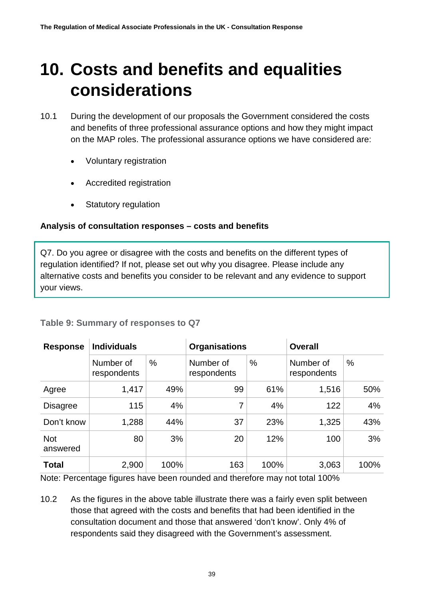### <span id="page-38-0"></span>**10. Costs and benefits and equalities considerations**

- 10.1 During the development of our proposals the Government considered the costs and benefits of three professional assurance options and how they might impact on the MAP roles. The professional assurance options we have considered are:
	- Voluntary registration
	- Accredited registration
	- Statutory regulation

#### **Analysis of consultation responses – costs and benefits**

Q7. Do you agree or disagree with the costs and benefits on the different types of regulation identified? If not, please set out why you disagree. Please include any alternative costs and benefits you consider to be relevant and any evidence to support your views.

#### **Table 9: Summary of responses to Q7**

| <b>Response</b>        | <b>Individuals</b>       |      | <b>Organisations</b>     |      | <b>Overall</b>           |      |
|------------------------|--------------------------|------|--------------------------|------|--------------------------|------|
|                        | Number of<br>respondents | %    | Number of<br>respondents | %    | Number of<br>respondents | $\%$ |
| Agree                  | 1,417                    | 49%  | 99                       | 61%  | 1,516                    | 50%  |
| <b>Disagree</b>        | 115                      | 4%   |                          | 4%   | 122                      | 4%   |
| Don't know             | 1,288                    | 44%  | 37                       | 23%  | 1,325                    | 43%  |
| <b>Not</b><br>answered | 80                       | 3%   | 20                       | 12%  | 100                      | 3%   |
| <b>Total</b>           | 2,900                    | 100% | 163                      | 100% | 3,063                    | 100% |

Note: Percentage figures have been rounded and therefore may not total 100%

10.2 As the figures in the above table illustrate there was a fairly even split between those that agreed with the costs and benefits that had been identified in the consultation document and those that answered 'don't know'. Only 4% of respondents said they disagreed with the Government's assessment.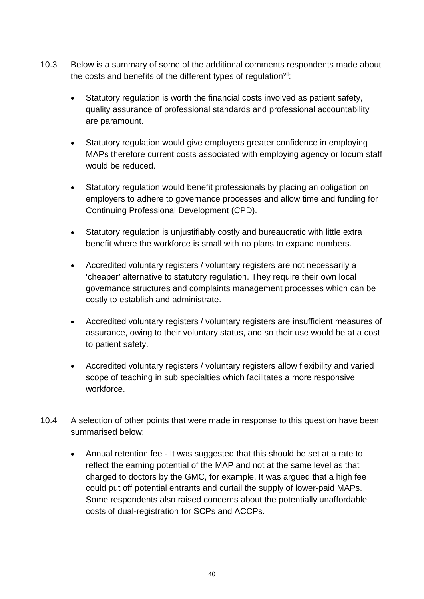- 10.3 Below is a summary of some of the additional comments respondents made about the costs and benefits of the different types of regulation $v$ ii:
	- Statutory regulation is worth the financial costs involved as patient safety, quality assurance of professional standards and professional accountability are paramount.
	- Statutory regulation would give employers greater confidence in employing MAPs therefore current costs associated with employing agency or locum staff would be reduced.
	- Statutory regulation would benefit professionals by placing an obligation on employers to adhere to governance processes and allow time and funding for Continuing Professional Development (CPD).
	- Statutory regulation is uniustifiably costly and bureaucratic with little extra benefit where the workforce is small with no plans to expand numbers.
	- Accredited voluntary registers / voluntary registers are not necessarily a 'cheaper' alternative to statutory regulation. They require their own local governance structures and complaints management processes which can be costly to establish and administrate.
	- Accredited voluntary registers / voluntary registers are insufficient measures of assurance, owing to their voluntary status, and so their use would be at a cost to patient safety.
	- Accredited voluntary registers / voluntary registers allow flexibility and varied scope of teaching in sub specialties which facilitates a more responsive workforce.
- 10.4 A selection of other points that were made in response to this question have been summarised below:
	- Annual retention fee It was suggested that this should be set at a rate to reflect the earning potential of the MAP and not at the same level as that charged to doctors by the GMC, for example. It was argued that a high fee could put off potential entrants and curtail the supply of lower-paid MAPs. Some respondents also raised concerns about the potentially unaffordable costs of dual-registration for SCPs and ACCPs.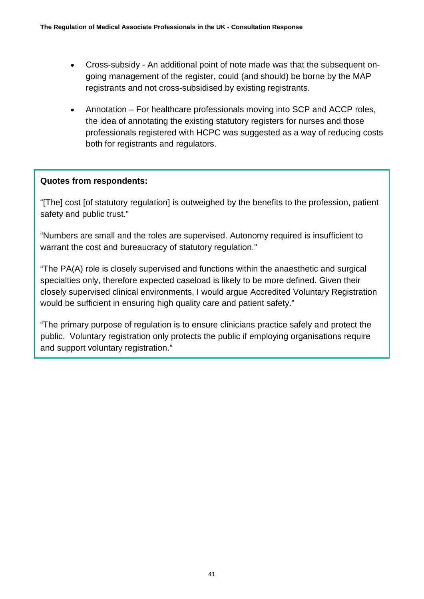- Cross-subsidy An additional point of note made was that the subsequent ongoing management of the register, could (and should) be borne by the MAP registrants and not cross-subsidised by existing registrants.
- Annotation For healthcare professionals moving into SCP and ACCP roles, the idea of annotating the existing statutory registers for nurses and those professionals registered with HCPC was suggested as a way of reducing costs both for registrants and regulators.

#### **Quotes from respondents:**

"[The] cost [of statutory regulation] is outweighed by the benefits to the profession, patient safety and public trust."

"Numbers are small and the roles are supervised. Autonomy required is insufficient to warrant the cost and bureaucracy of statutory regulation."

"The PA(A) role is closely supervised and functions within the anaesthetic and surgical specialties only, therefore expected caseload is likely to be more defined. Given their closely supervised clinical environments, I would argue Accredited Voluntary Registration would be sufficient in ensuring high quality care and patient safety."

"The primary purpose of regulation is to ensure clinicians practice safely and protect the public. Voluntary registration only protects the public if employing organisations require and support voluntary registration."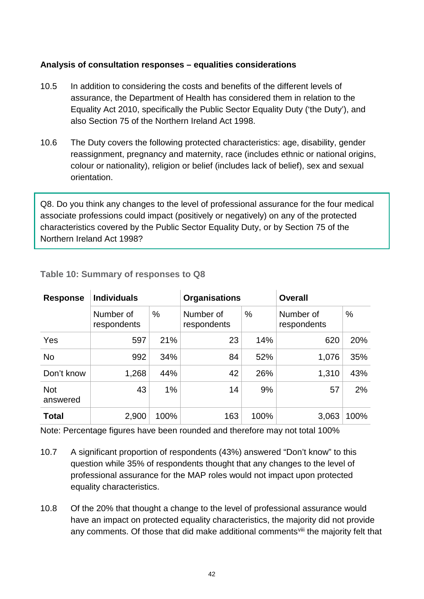#### **Analysis of consultation responses – equalities considerations**

- 10.5 In addition to considering the costs and benefits of the different levels of assurance, the Department of Health has considered them in relation to the Equality Act 2010, specifically the Public Sector Equality Duty ('the Duty'), and also Section 75 of the Northern Ireland Act 1998.
- 10.6 The Duty covers the following protected characteristics: age, disability, gender reassignment, pregnancy and maternity, race (includes ethnic or national origins, colour or nationality), religion or belief (includes lack of belief), sex and sexual orientation.

Q8. Do you think any changes to the level of professional assurance for the four medical associate professions could impact (positively or negatively) on any of the protected characteristics covered by the Public Sector Equality Duty, or by Section 75 of the Northern Ireland Act 1998?

| <b>Response</b>        | <b>Individuals</b>       |       | <b>Organisations</b>     |      | <b>Overall</b>           |      |  |
|------------------------|--------------------------|-------|--------------------------|------|--------------------------|------|--|
|                        | Number of<br>respondents | %     | Number of<br>respondents | $\%$ | Number of<br>respondents | %    |  |
| Yes                    | 597                      | 21%   | 23                       | 14%  | 620                      | 20%  |  |
| <b>No</b>              | 992                      | 34%   | 84                       | 52%  | 1,076                    | 35%  |  |
| Don't know             | 1,268                    | 44%   | 42                       | 26%  | 1,310                    | 43%  |  |
| <b>Not</b><br>answered | 43                       | $1\%$ | 14                       | 9%   | 57                       | 2%   |  |
| <b>Total</b>           | 2,900                    | 100%  | 163                      | 100% | 3,063                    | 100% |  |

**Table 10: Summary of responses to Q8**

Note: Percentage figures have been rounded and therefore may not total 100%

- 10.7 A significant proportion of respondents (43%) answered "Don't know" to this question while 35% of respondents thought that any changes to the level of professional assurance for the MAP roles would not impact upon protected equality characteristics.
- 10.8 Of the 20% that thought a change to the level of professional assurance would have an impact on protected equality characteristics, the majority did not provide any comments. Of those that did make additional comments<sup>[viii](#page-46-8)</sup> the maiority felt that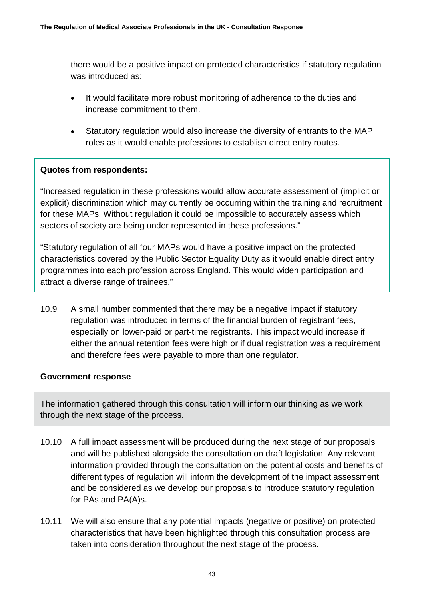there would be a positive impact on protected characteristics if statutory regulation was introduced as:

- It would facilitate more robust monitoring of adherence to the duties and increase commitment to them.
- Statutory regulation would also increase the diversity of entrants to the MAP roles as it would enable professions to establish direct entry routes.

#### **Quotes from respondents:**

"Increased regulation in these professions would allow accurate assessment of (implicit or explicit) discrimination which may currently be occurring within the training and recruitment for these MAPs. Without regulation it could be impossible to accurately assess which sectors of society are being under represented in these professions."

"Statutory regulation of all four MAPs would have a positive impact on the protected characteristics covered by the Public Sector Equality Duty as it would enable direct entry programmes into each profession across England. This would widen participation and attract a diverse range of trainees."

10.9 A small number commented that there may be a negative impact if statutory regulation was introduced in terms of the financial burden of registrant fees, especially on lower-paid or part-time registrants. This impact would increase if either the annual retention fees were high or if dual registration was a requirement and therefore fees were payable to more than one regulator.

#### **Government response**

The information gathered through this consultation will inform our thinking as we work through the next stage of the process.

- 10.10 A full impact assessment will be produced during the next stage of our proposals and will be published alongside the consultation on draft legislation. Any relevant information provided through the consultation on the potential costs and benefits of different types of regulation will inform the development of the impact assessment and be considered as we develop our proposals to introduce statutory regulation for PAs and PA(A)s.
- 10.11 We will also ensure that any potential impacts (negative or positive) on protected characteristics that have been highlighted through this consultation process are taken into consideration throughout the next stage of the process.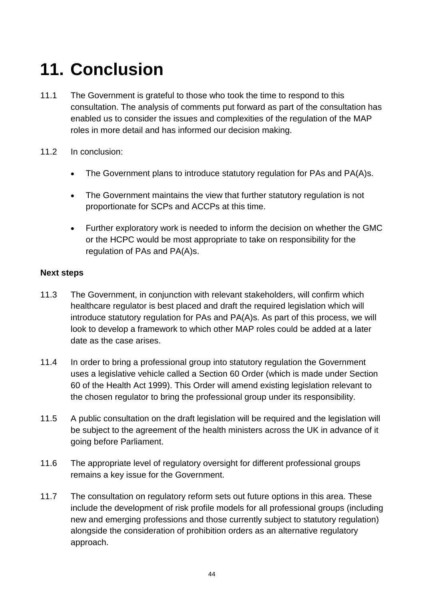## <span id="page-43-0"></span>**11. Conclusion**

- 11.1 The Government is grateful to those who took the time to respond to this consultation. The analysis of comments put forward as part of the consultation has enabled us to consider the issues and complexities of the regulation of the MAP roles in more detail and has informed our decision making.
- 11.2 In conclusion:
	- The Government plans to introduce statutory regulation for PAs and PA(A)s.
	- The Government maintains the view that further statutory regulation is not proportionate for SCPs and ACCPs at this time.
	- Further exploratory work is needed to inform the decision on whether the GMC or the HCPC would be most appropriate to take on responsibility for the regulation of PAs and PA(A)s.

#### **Next steps**

- 11.3 The Government, in conjunction with relevant stakeholders, will confirm which healthcare regulator is best placed and draft the required legislation which will introduce statutory regulation for PAs and PA(A)s. As part of this process, we will look to develop a framework to which other MAP roles could be added at a later date as the case arises.
- 11.4 In order to bring a professional group into statutory regulation the Government uses a legislative vehicle called a Section 60 Order (which is made under Section 60 of the Health Act 1999). This Order will amend existing legislation relevant to the chosen regulator to bring the professional group under its responsibility.
- 11.5 A public consultation on the draft legislation will be required and the legislation will be subject to the agreement of the health ministers across the UK in advance of it going before Parliament.
- 11.6 The appropriate level of regulatory oversight for different professional groups remains a key issue for the Government.
- 11.7 The consultation on regulatory reform sets out future options in this area. These include the development of risk profile models for all professional groups (including new and emerging professions and those currently subject to statutory regulation) alongside the consideration of prohibition orders as an alternative regulatory approach.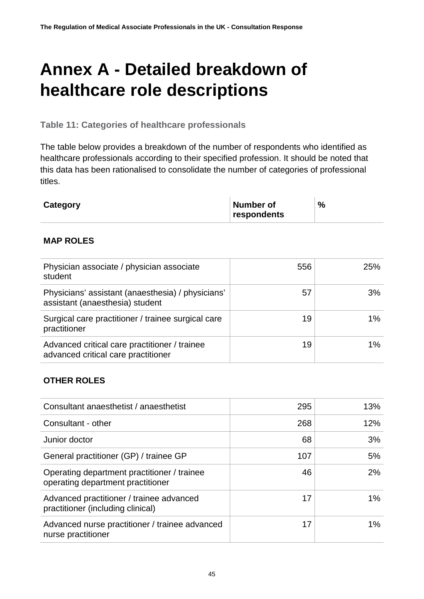### <span id="page-44-0"></span>**Annex A - Detailed breakdown of healthcare role descriptions**

**Table 11: Categories of healthcare professionals**

The table below provides a breakdown of the number of respondents who identified as healthcare professionals according to their specified profession. It should be noted that this data has been rationalised to consolidate the number of categories of professional titles.

| Category | Number of   | % |
|----------|-------------|---|
|          | respondents |   |

#### **MAP ROLES**

| Physician associate / physician associate<br>student                                 | 556 | <b>25%</b> |
|--------------------------------------------------------------------------------------|-----|------------|
| Physicians' assistant (anaesthesia) / physicians'<br>assistant (anaesthesia) student | 57  | 3%         |
| Surgical care practitioner / trainee surgical care<br>practitioner                   | 19  | $1\%$      |
| Advanced critical care practitioner / trainee<br>advanced critical care practitioner | 19  | $1\%$      |

#### **OTHER ROLES**

| Consultant anaesthetist / anaesthetist                                           | 295 | 13%   |
|----------------------------------------------------------------------------------|-----|-------|
| Consultant - other                                                               | 268 | 12%   |
| Junior doctor                                                                    | 68  | 3%    |
| General practitioner (GP) / trainee GP                                           | 107 | 5%    |
| Operating department practitioner / trainee<br>operating department practitioner | 46  | 2%    |
| Advanced practitioner / trainee advanced<br>practitioner (including clinical)    | 17  | $1\%$ |
| Advanced nurse practitioner / trainee advanced<br>nurse practitioner             | 17  | $1\%$ |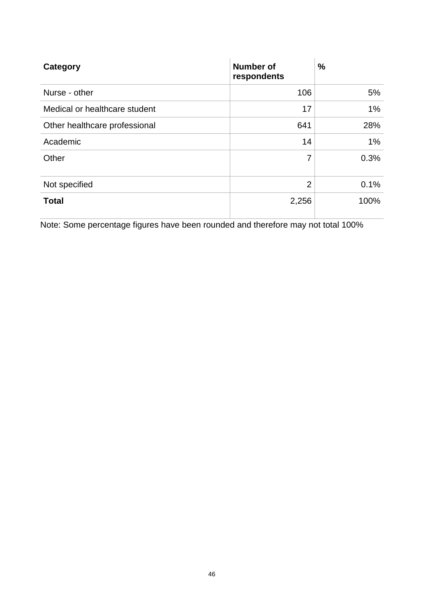| Category                      | <b>Number of</b><br>respondents | %    |
|-------------------------------|---------------------------------|------|
| Nurse - other                 | 106                             | 5%   |
| Medical or healthcare student | 17                              | 1%   |
| Other healthcare professional | 641                             | 28%  |
| Academic                      | 14                              | 1%   |
| Other                         | 7                               | 0.3% |
| Not specified                 | $\overline{2}$                  | 0.1% |
| <b>Total</b>                  | 2,256                           | 100% |

Note: Some percentage figures have been rounded and therefore may not total 100%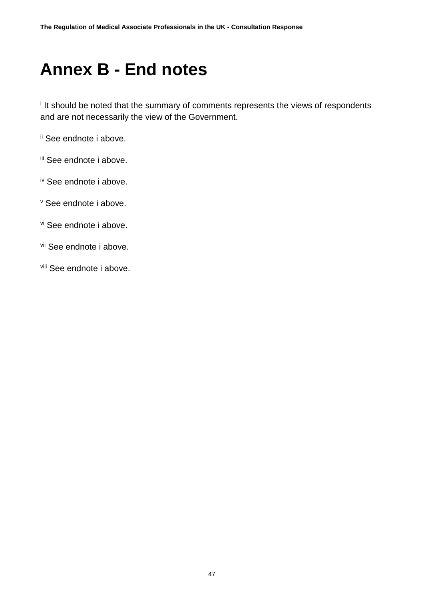### <span id="page-46-0"></span>**Annex B - End notes**

<span id="page-46-1"></span><sup>i</sup> It should be noted that the summary of comments represents the views of respondents and are not necessarily the view of the Government.

<span id="page-46-2"></span>ii See endnote i above.

<span id="page-46-3"></span>iii See endnote i above.

<span id="page-46-4"></span>iv See endnote i above.

<span id="page-46-5"></span><sup>v</sup> See endnote i above.

<span id="page-46-6"></span>vi See endnote i above.

<span id="page-46-7"></span>vii See endnote i above.

<span id="page-46-8"></span>viii See endnote i above.